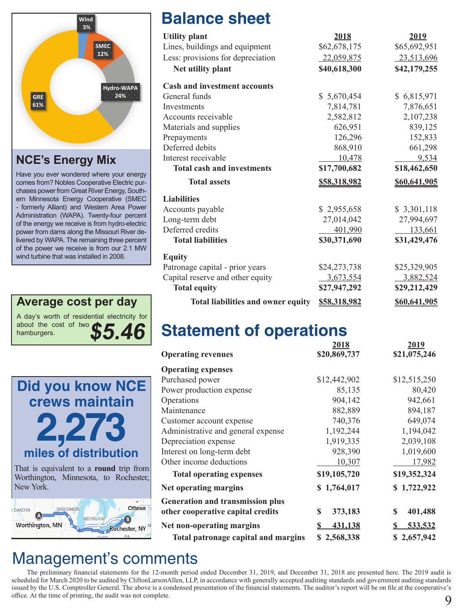

**NCE's Energy Mix**

Have you ever wondered where your energy comes from? Nobles Cooperative Electric purchases power from Great River Energy, Southern Minnesota Energy Cooperative (SMEC - formerly Alliant) and Western Area Power Administration (WAPA). Twenty-four percent of the energy we receive is from hydro-electric power from dams along the Missouri River delivered by WAPA. The remaining three percent of the power we receive is from our 2.1 MW wind turbine that was installed in 2008.





# **Balance sheet**

| <b>Utility plant</b>                      | 2018                | 2019         |
|-------------------------------------------|---------------------|--------------|
| Lines, buildings and equipment            | \$62,678,175        | \$65,692,951 |
| Less: provisions for depreciation         | 22,059,875          | 23,513,696   |
| Net utility plant                         | \$40,618,300        | \$42,179,255 |
| <b>Cash and investment accounts</b>       |                     |              |
| General funds                             | \$5,670,454         | \$6,815,971  |
| Investments                               | 7,814,781           | 7,876,651    |
| Accounts receivable                       | 2,582,812           | 2,107,238    |
| Materials and supplies                    | 626,951             | 839,125      |
| Prepayments                               | 126,296             | 152,833      |
| Deferred debits                           | 868,910             | 661,298      |
| Interest receivable                       | 10,478              | 9,534        |
| <b>Total cash and investments</b>         | \$17,700,682        | \$18,462,650 |
| <b>Total assets</b>                       | <u>\$58,318,982</u> | \$60,641,905 |
| <b>Liabilities</b>                        |                     |              |
| Accounts payable                          | \$2,955,658         | \$3,301,118  |
| Long-term debt                            | 27,014,042          | 27,994,697   |
| Deferred credits                          | 401,990             | 133,661      |
| <b>Total liabilities</b>                  | \$30,371,690        | \$31,429,476 |
| <b>Equity</b>                             |                     |              |
| Patronage capital - prior years           | \$24,273,738        | \$25,329,905 |
| Capital reserve and other equity          | 3,673,554           | 3,882,524    |
| <b>Total equity</b>                       | \$27,947,292        | \$29,212,429 |
| <b>Total liabilities and owner equity</b> | \$58,318,982        | \$60,641,905 |

# **Statement of operations**

|                                         | 2018                | 2019         |
|-----------------------------------------|---------------------|--------------|
| <b>Operating revenues</b>               | \$20,869,737        | \$21,075,246 |
| <b>Operating expenses</b>               |                     |              |
| Purchased power                         | \$12,442,902        | \$12,515,250 |
| Power production expense                | 85,135              | 80,420       |
| Operations                              | 904,142             | 942,661      |
| Maintenance                             | 882,889             | 894,187      |
| Customer account expense                | 740,376             | 649,074      |
| Administrative and general expense      | 1,192,244           | 1,194,042    |
| Depreciation expense                    | 1,919,335           | 2,039,108    |
| Interest on long-term debt              | 928,390             | 1,019,600    |
| Other income deductions                 | 10,307              | 17,982       |
| <b>Total operating expenses</b>         | \$19,105,720        | \$19,352,324 |
| Net operating margins                   | \$1,764,017         | \$1,722,922  |
| <b>Generation and transmission plus</b> |                     |              |
| other cooperative capital credits       | S<br>373,183        | 401,488<br>S |
| Net non-operating margins               | <u>431,138</u><br>S | 533,532      |
| Total patronage capital and margins     | \$2,568,338         | \$2,657,942  |

### Management's comments

 The preliminary financial statements for the 12-month period ended December 31, 2019, and December 31, 2018 are presented here. The 2019 audit is scheduled for March 2020 to be audited by CliftonLarsonAllen, LLP, in accordance with generally accepted auditing standards and government auditing standards issued by the U.S. Comptroller General. The above is a condensed presentation of the financial statements. The auditor's report will be on file at the cooperative's office. At the time of printing, the audit was not complete. 9